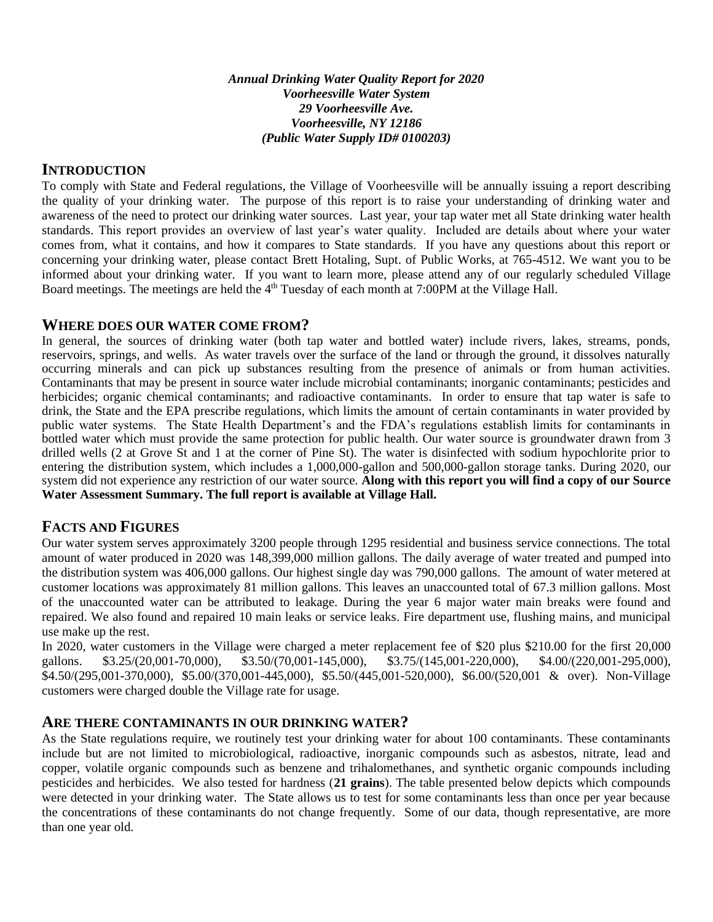*Annual Drinking Water Quality Report for 2020 Voorheesville Water System 29 Voorheesville Ave. Voorheesville, NY 12186 (Public Water Supply ID# 0100203)*

# **INTRODUCTION**

To comply with State and Federal regulations, the Village of Voorheesville will be annually issuing a report describing the quality of your drinking water. The purpose of this report is to raise your understanding of drinking water and awareness of the need to protect our drinking water sources. Last year, your tap water met all State drinking water health standards. This report provides an overview of last year's water quality. Included are details about where your water comes from, what it contains, and how it compares to State standards. If you have any questions about this report or concerning your drinking water, please contact Brett Hotaling, Supt. of Public Works, at 765-4512. We want you to be informed about your drinking water. If you want to learn more, please attend any of our regularly scheduled Village Board meetings. The meetings are held the 4<sup>th</sup> Tuesday of each month at 7:00PM at the Village Hall.

### **WHERE DOES OUR WATER COME FROM?**

In general, the sources of drinking water (both tap water and bottled water) include rivers, lakes, streams, ponds, reservoirs, springs, and wells. As water travels over the surface of the land or through the ground, it dissolves naturally occurring minerals and can pick up substances resulting from the presence of animals or from human activities. Contaminants that may be present in source water include microbial contaminants; inorganic contaminants; pesticides and herbicides; organic chemical contaminants; and radioactive contaminants. In order to ensure that tap water is safe to drink, the State and the EPA prescribe regulations, which limits the amount of certain contaminants in water provided by public water systems. The State Health Department's and the FDA's regulations establish limits for contaminants in bottled water which must provide the same protection for public health. Our water source is groundwater drawn from 3 drilled wells (2 at Grove St and 1 at the corner of Pine St). The water is disinfected with sodium hypochlorite prior to entering the distribution system, which includes a 1,000,000-gallon and 500,000-gallon storage tanks. During 2020, our system did not experience any restriction of our water source. **Along with this report you will find a copy of our Source Water Assessment Summary. The full report is available at Village Hall.**

## **FACTS AND FIGURES**

Our water system serves approximately 3200 people through 1295 residential and business service connections. The total amount of water produced in 2020 was 148,399,000 million gallons. The daily average of water treated and pumped into the distribution system was 406,000 gallons. Our highest single day was 790,000 gallons. The amount of water metered at customer locations was approximately 81 million gallons. This leaves an unaccounted total of 67.3 million gallons. Most of the unaccounted water can be attributed to leakage. During the year 6 major water main breaks were found and repaired. We also found and repaired 10 main leaks or service leaks. Fire department use, flushing mains, and municipal use make up the rest.

In 2020, water customers in the Village were charged a meter replacement fee of \$20 plus \$210.00 for the first 20,000 gallons. \$3.25/(20,001-70,000), \$3.50/(70,001-145,000), \$3.75/(145,001-220,000), \$4.00/(220,001-295,000), \$4.50/(295,001-370,000), \$5.00/(370,001-445,000), \$5.50/(445,001-520,000), \$6.00/(520,001 & over). Non-Village customers were charged double the Village rate for usage.

### **ARE THERE CONTAMINANTS IN OUR DRINKING WATER?**

As the State regulations require, we routinely test your drinking water for about 100 contaminants. These contaminants include but are not limited to microbiological, radioactive, inorganic compounds such as asbestos, nitrate, lead and copper, volatile organic compounds such as benzene and trihalomethanes, and synthetic organic compounds including pesticides and herbicides. We also tested for hardness (**21 grains**). The table presented below depicts which compounds were detected in your drinking water. The State allows us to test for some contaminants less than once per year because the concentrations of these contaminants do not change frequently. Some of our data, though representative, are more than one year old.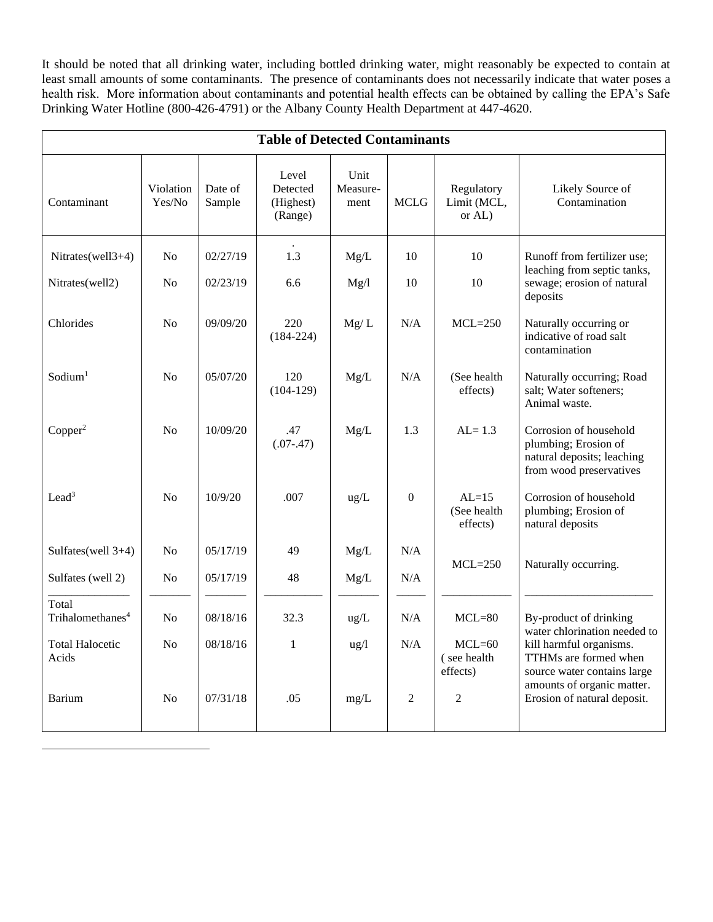It should be noted that all drinking water, including bottled drinking water, might reasonably be expected to contain at least small amounts of some contaminants. The presence of contaminants does not necessarily indicate that water poses a health risk. More information about contaminants and potential health effects can be obtained by calling the EPA's Safe Drinking Water Hotline (800-426-4791) or the Albany County Health Department at 447-4620.

| <b>Table of Detected Contaminants</b> |                     |                   |                                           |                          |                  |                                     |                                                                                                         |
|---------------------------------------|---------------------|-------------------|-------------------------------------------|--------------------------|------------------|-------------------------------------|---------------------------------------------------------------------------------------------------------|
| Contaminant                           | Violation<br>Yes/No | Date of<br>Sample | Level<br>Detected<br>(Highest)<br>(Range) | Unit<br>Measure-<br>ment | <b>MCLG</b>      | Regulatory<br>Limit (MCL,<br>or AL) | Likely Source of<br>Contamination                                                                       |
| Nitrates(well3+4)                     | N <sub>o</sub>      | 02/27/19          | 1.3                                       | Mg/L                     | 10               | 10                                  | Runoff from fertilizer use;                                                                             |
| Nitrates(well2)                       | No                  | 02/23/19          | 6.6                                       | Mg/l                     | 10               | 10                                  | leaching from septic tanks,<br>sewage; erosion of natural<br>deposits                                   |
| Chlorides                             | No                  | 09/09/20          | 220<br>$(184 - 224)$                      | Mg/L                     | N/A              | $MCL=250$                           | Naturally occurring or<br>indicative of road salt<br>contamination                                      |
| Sodium <sup>1</sup>                   | N <sub>o</sub>      | 05/07/20          | 120<br>$(104-129)$                        | Mg/L                     | N/A              | (See health<br>effects)             | Naturally occurring; Road<br>salt; Water softeners;<br>Animal waste.                                    |
| Copper <sup>2</sup>                   | N <sub>o</sub>      | 10/09/20          | .47<br>$(.07-.47)$                        | Mg/L                     | 1.3              | $AL = 1.3$                          | Corrosion of household<br>plumbing; Erosion of<br>natural deposits; leaching<br>from wood preservatives |
| Lead <sup>3</sup>                     | N <sub>o</sub>      | 10/9/20           | .007                                      | ug/L                     | $\boldsymbol{0}$ | $AL=15$<br>(See health<br>effects)  | Corrosion of household<br>plumbing; Erosion of<br>natural deposits                                      |
| Sulfates(well 3+4)                    | No                  | 05/17/19          | 49                                        | Mg/L                     | N/A              | $MCL = 250$                         | Naturally occurring.                                                                                    |
| Sulfates (well 2)                     | No                  | 05/17/19          | 48                                        | Mg/L                     | N/A              |                                     |                                                                                                         |
| Total<br>Trihalomethanes <sup>4</sup> | No                  | 08/18/16          | 32.3                                      | ug/L                     | N/A              | $MCL=80$                            | By-product of drinking<br>water chlorination needed to                                                  |
| <b>Total Halocetic</b><br>Acids       | N <sub>o</sub>      | 08/18/16          | $\mathbf{1}$                              | $\frac{u g}{l}$          | N/A              | $MCL=60$<br>(see health<br>effects) | kill harmful organisms.<br>TTHMs are formed when<br>source water contains large                         |
| <b>Barium</b>                         | No                  | 07/31/18          | .05                                       | mg/L                     | $\mathbf{2}$     | $\overline{2}$                      | amounts of organic matter.<br>Erosion of natural deposit.                                               |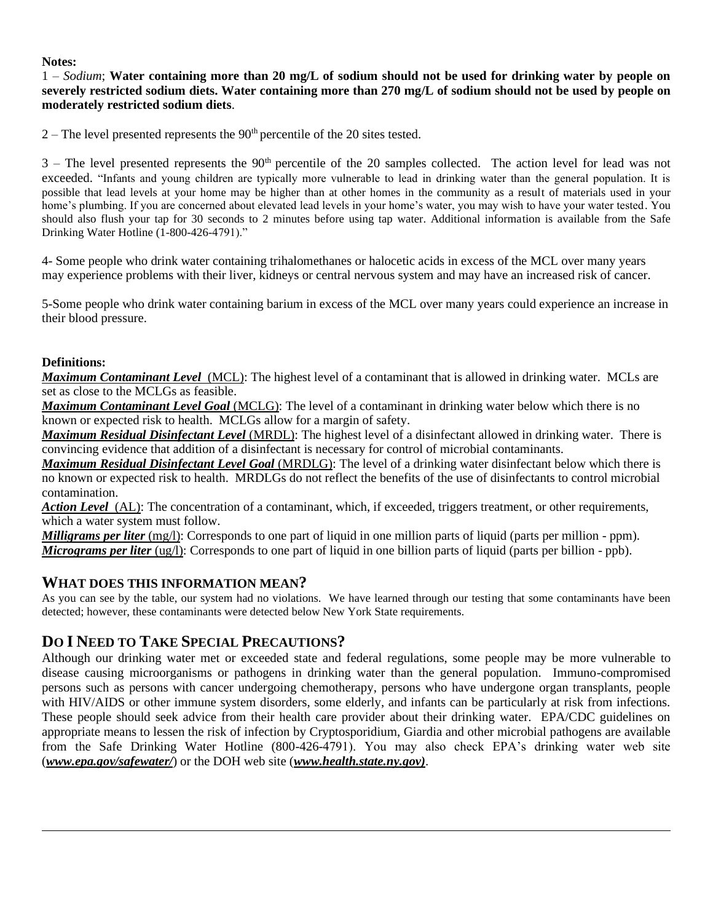#### **Notes:**

1 – *Sodium*; **Water containing more than 20 mg/L of sodium should not be used for drinking water by people on severely restricted sodium diets. Water containing more than 270 mg/L of sodium should not be used by people on moderately restricted sodium diets**.

 $2 -$ The level presented represents the 90<sup>th</sup> percentile of the 20 sites tested.

 $3$  – The level presented represents the  $90<sup>th</sup>$  percentile of the 20 samples collected. The action level for lead was not exceeded. "Infants and young children are typically more vulnerable to lead in drinking water than the general population. It is possible that lead levels at your home may be higher than at other homes in the community as a result of materials used in your home's plumbing. If you are concerned about elevated lead levels in your home's water, you may wish to have your water tested. You should also flush your tap for 30 seconds to 2 minutes before using tap water. Additional information is available from the Safe Drinking Water Hotline (1-800-426-4791)."

4- Some people who drink water containing trihalomethanes or halocetic acids in excess of the MCL over many years may experience problems with their liver, kidneys or central nervous system and may have an increased risk of cancer.

5-Some people who drink water containing barium in excess of the MCL over many years could experience an increase in their blood pressure.

### **Definitions:**

*Maximum Contaminant Level*(MCL): The highest level of a contaminant that is allowed in drinking water. MCLs are set as close to the MCLGs as feasible.

*Maximum Contaminant Level Goal* (MCLG): The level of a contaminant in drinking water below which there is no known or expected risk to health. MCLGs allow for a margin of safety.

*Maximum Residual Disinfectant Level* (MRDL): The highest level of a disinfectant allowed in drinking water. There is convincing evidence that addition of a disinfectant is necessary for control of microbial contaminants.

*Maximum Residual Disinfectant Level Goal* (MRDLG): The level of a drinking water disinfectant below which there is no known or expected risk to health. MRDLGs do not reflect the benefits of the use of disinfectants to control microbial contamination.

*Action Level* (AL): The concentration of a contaminant, which, if exceeded, triggers treatment, or other requirements, which a water system must follow.

*Milligrams per liter* (mg/l): Corresponds to one part of liquid in one million parts of liquid (parts per million - ppm). *Micrograms per liter* (ug/l): Corresponds to one part of liquid in one billion parts of liquid (parts per billion - ppb).

## **WHAT DOES THIS INFORMATION MEAN?**

As you can see by the table, our system had no violations. We have learned through our testing that some contaminants have been detected; however, these contaminants were detected below New York State requirements.

# **DO I NEED TO TAKE SPECIAL PRECAUTIONS?**

Although our drinking water met or exceeded state and federal regulations, some people may be more vulnerable to disease causing microorganisms or pathogens in drinking water than the general population. Immuno-compromised persons such as persons with cancer undergoing chemotherapy, persons who have undergone organ transplants, people with HIV/AIDS or other immune system disorders, some elderly, and infants can be particularly at risk from infections. These people should seek advice from their health care provider about their drinking water. EPA/CDC guidelines on appropriate means to lessen the risk of infection by Cryptosporidium, Giardia and other microbial pathogens are available from the Safe Drinking Water Hotline (800-426-4791). You may also check EPA's drinking water web site (*[www.epa.gov/safewater/](http://www.epa.gov/safewater/)*) or the DOH web site (*www.health.state.ny.gov)*.